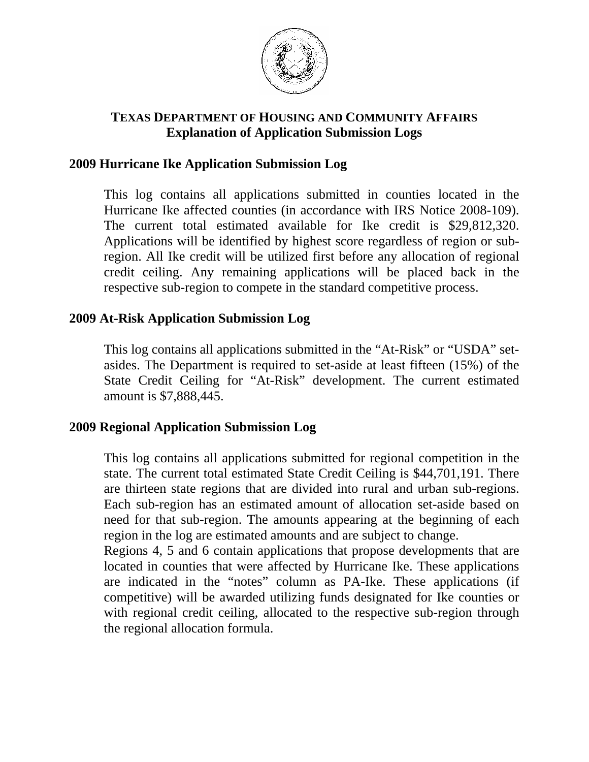

## **TEXAS DEPARTMENT OF HOUSING AND COMMUNITY AFFAIRS Explanation of Application Submission Logs**

# **2009 Hurricane Ike Application Submission Log**

This log contains all applications submitted in counties located in the Hurricane Ike affected counties (in accordance with IRS Notice 2008-109). The current total estimated available for Ike credit is \$29,812,320. Applications will be identified by highest score regardless of region or subregion. All Ike credit will be utilized first before any allocation of regional credit ceiling. Any remaining applications will be placed back in the respective sub-region to compete in the standard competitive process.

# **2009 At-Risk Application Submission Log**

This log contains all applications submitted in the "At-Risk" or "USDA" setasides. The Department is required to set-aside at least fifteen (15%) of the State Credit Ceiling for "At-Risk" development. The current estimated amount is \$7,888,445.

## **2009 Regional Application Submission Log**

This log contains all applications submitted for regional competition in the state. The current total estimated State Credit Ceiling is \$44,701,191. There are thirteen state regions that are divided into rural and urban sub-regions. Each sub-region has an estimated amount of allocation set-aside based on need for that sub-region. The amounts appearing at the beginning of each region in the log are estimated amounts and are subject to change.

Regions 4, 5 and 6 contain applications that propose developments that are located in counties that were affected by Hurricane Ike. These applications are indicated in the "notes" column as PA-Ike. These applications (if competitive) will be awarded utilizing funds designated for Ike counties or with regional credit ceiling, allocated to the respective sub-region through the regional allocation formula.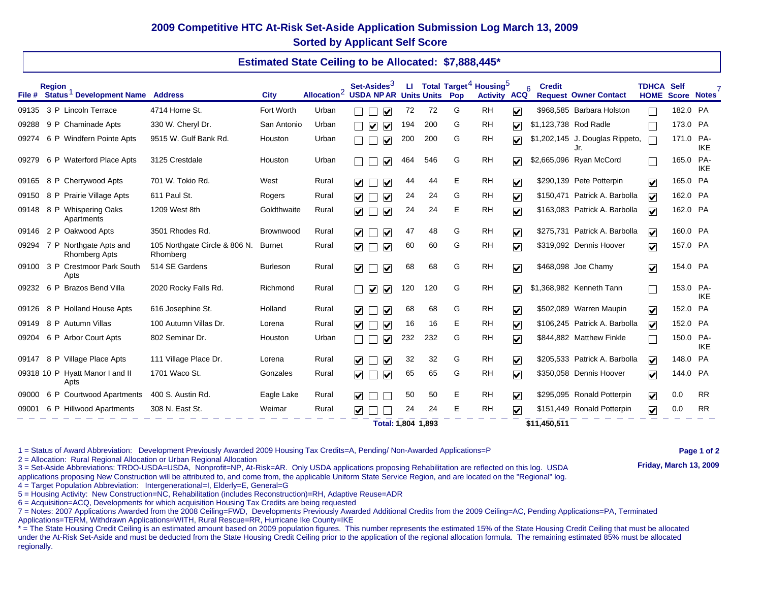#### **2009 Competitive HTC At-Risk Set-Aside Application Submission Log March 13, 2009 Sorted by Applicant Self Score**

| <b>Estimated State Ceiling to be Allocated: \$7,888,445*</b> |               |                                             |                                           |                 |                         |                                                              |     |                        |   |                                                                       |                         |               |                                        |                                              |           |            |
|--------------------------------------------------------------|---------------|---------------------------------------------|-------------------------------------------|-----------------|-------------------------|--------------------------------------------------------------|-----|------------------------|---|-----------------------------------------------------------------------|-------------------------|---------------|----------------------------------------|----------------------------------------------|-----------|------------|
|                                                              | <b>Region</b> | File # Status <sup>1</sup> Development Name | <b>Address</b>                            | <b>City</b>     | Allocation <sup>2</sup> | Set-Asides <sup>3</sup><br><b>USDA NP AR</b>                 | ш   | <b>Units Units Pop</b> |   | Total Target <sup>4</sup> Housing <sup>5</sup><br><b>Activity ACQ</b> |                         | <b>Credit</b> | <b>Request Owner Contact</b>           | <b>TDHCA Self</b><br><b>HOME Score Notes</b> |           |            |
| 09135                                                        |               | 3 P Lincoln Terrace                         | 4714 Horne St.                            | Fort Worth      | Urban                   | $\overline{\blacktriangledown}$                              | 72  | 72                     | G | <b>RH</b>                                                             | $\overline{\mathbf{v}}$ |               | \$968,585 Barbara Holston              |                                              | 182.0 PA  |            |
| 09288                                                        |               | 9 P Chaminade Apts                          | 330 W. Cheryl Dr.                         | San Antonio     | Urban                   | $\overline{\mathbf{v}}$<br>$\overline{\mathbf{v}}$           | 194 | 200                    | G | RH                                                                    | $\overline{\mathbf{v}}$ |               | \$1,123,738 Rod Radle                  |                                              | 173.0 PA  |            |
| 09274                                                        |               | 6 P Windfern Pointe Apts                    | 9515 W. Gulf Bank Rd.                     | Houston         | Urban                   | $\blacktriangledown$                                         | 200 | 200                    | G | <b>RH</b>                                                             | $\overline{\mathbf{v}}$ |               | \$1,202,145 J. Douglas Rippeto,<br>Jr. | $\vert \ \ \vert$                            | 171.0 PA- | <b>IKE</b> |
| 09279                                                        |               | 6 P Waterford Place Apts                    | 3125 Crestdale                            | Houston         | Urban                   | $\blacktriangledown$                                         | 464 | 546                    | G | <b>RH</b>                                                             | V                       |               | \$2,665,096 Ryan McCord                |                                              | 165.0 PA- | <b>IKE</b> |
| 09165                                                        |               | 8 P Cherrywood Apts                         | 701 W. Tokio Rd.                          | West            | Rural                   | $\blacktriangledown$<br>$\blacktriangledown$                 | 44  | 44                     | Е | RH                                                                    | $\overline{\mathbf{v}}$ |               | \$290,139 Pete Potterpin               | $\overline{\mathbf{v}}$                      | 165.0 PA  |            |
| 09150                                                        |               | 8 P Prairie Village Apts                    | 611 Paul St.                              | Rogers          | Rural                   | $\blacktriangledown$<br>$\blacktriangledown$<br>$\mathbf{L}$ | 24  | 24                     | G | <b>RH</b>                                                             | $\overline{\mathbf{v}}$ |               | \$150,471 Patrick A. Barbolla          | $\overline{\mathbf{v}}$                      | 162.0 PA  |            |
| 09148                                                        |               | 8 P Whispering Oaks<br>Apartments           | 1209 West 8th                             | Goldthwaite     | Rural                   | $\blacktriangledown$<br>$\blacktriangledown$                 | 24  | 24                     | Е | <b>RH</b>                                                             | $\overline{\mathbf{v}}$ |               | \$163,083 Patrick A. Barbolla          | $\overline{\mathbf{v}}$                      | 162.0 PA  |            |
| 09146                                                        |               | 2 P Oakwood Apts                            | 3501 Rhodes Rd.                           | Brownwood       | Rural                   | $\blacktriangledown$<br>$\blacktriangledown$                 | 47  | 48                     | G | <b>RH</b>                                                             | $\overline{\mathbf{v}}$ |               | \$275,731 Patrick A. Barbolla          | $\overline{\mathbf{v}}$                      | 160.0 PA  |            |
| 09294                                                        |               | 7 P Northgate Apts and<br>Rhomberg Apts     | 105 Northgate Circle & 806 N.<br>Rhomberg | <b>Burnet</b>   | Rural                   | $\blacktriangledown$<br>$\blacktriangledown$                 | 60  | 60                     | G | <b>RH</b>                                                             | $\overline{\mathbf{v}}$ |               | \$319,092 Dennis Hoover                | $\blacktriangledown$                         | 157.0 PA  |            |
| 09100                                                        |               | 3 P Crestmoor Park South<br>Apts            | 514 SE Gardens                            | <b>Burleson</b> | Rural                   | $\blacktriangledown$<br>$\checkmark$                         | 68  | 68                     | G | <b>RH</b>                                                             | $\overline{\mathbf{v}}$ |               | \$468,098 Joe Chamy                    | $\overline{\mathbf{v}}$                      | 154.0 PA  |            |
| 09232                                                        |               | 6 P Brazos Bend Villa                       | 2020 Rocky Falls Rd.                      | Richmond        | Rural                   | $\blacktriangledown$<br>$\blacktriangledown$                 | 120 | 120                    | G | <b>RH</b>                                                             | $\overline{\mathbf{v}}$ |               | \$1,368,982 Kenneth Tann               |                                              | 153.0 PA- | <b>IKE</b> |
| 09126                                                        |               | 8 P Holland House Apts                      | 616 Josephine St.                         | Holland         | Rural                   | $\blacktriangledown$<br>$\blacktriangledown$                 | 68  | 68                     | G | <b>RH</b>                                                             | $\overline{\mathbf{v}}$ |               | \$502,089 Warren Maupin                | $\blacktriangledown$                         | 152.0 PA  |            |
| 09149                                                        |               | 8 P Autumn Villas                           | 100 Autumn Villas Dr.                     | Lorena          | Rural                   | ☑<br>$\blacktriangledown$                                    | 16  | 16                     | Е | <b>RH</b>                                                             | $\overline{\mathbf{v}}$ |               | \$106,245 Patrick A. Barbolla          | $\blacktriangledown$                         | 152.0 PA  |            |
| 09204                                                        |               | 6 P Arbor Court Apts                        | 802 Seminar Dr.                           | Houston         | Urban                   | $\blacktriangledown$                                         | 232 | 232                    | G | RH                                                                    | $\overline{\mathbf{v}}$ |               | \$844,882 Matthew Finkle               |                                              | 150.0 PA- | <b>IKE</b> |
| 09147                                                        |               | 8 P Village Place Apts                      | 111 Village Place Dr.                     | Lorena          | Rural                   | $\blacktriangledown$<br>$\overline{\mathbf{v}}$              | 32  | 32                     | G | <b>RH</b>                                                             | $\overline{\mathbf{v}}$ |               | \$205,533 Patrick A. Barbolla          | $\overline{\mathbf{v}}$                      | 148.0 PA  |            |
|                                                              |               | 09318 10 P Hyatt Manor I and II<br>Apts     | 1701 Waco St.                             | Gonzales        | Rural                   | $\overline{\mathbf{v}}$<br>$\overline{\mathbf{v}}$           | 65  | 65                     | G | <b>RH</b>                                                             | $\overline{\mathbf{v}}$ |               | \$350,058 Dennis Hoover                | $\overline{\mathsf{v}}$                      | 144.0 PA  |            |
| 09000                                                        |               | 6 P Courtwood Apartments                    | 400 S. Austin Rd.                         | Eagle Lake      | Rural                   | $\blacktriangledown$                                         | 50  | 50                     | Е | <b>RH</b>                                                             | $\overline{\mathbf{v}}$ |               | \$295,095 Ronald Potterpin             | $\overline{\mathbf{v}}$                      | 0.0       | <b>RR</b>  |
| 09001                                                        |               | 6 P Hillwood Apartments                     | 308 N. East St.                           | Weimar          | Rural                   | $\blacktriangledown$                                         | 24  | 24                     | Е | <b>RH</b>                                                             | $\overline{\mathbf{v}}$ |               | \$151,449 Ronald Potterpin             | $\blacktriangledown$                         | 0.0       | <b>RR</b>  |
|                                                              |               |                                             |                                           |                 |                         |                                                              |     | Total: 1,804 1,893     |   |                                                                       |                         | \$11,450,511  |                                        |                                              |           |            |

1 = Status of Award Abbreviation: Development Previously Awarded 2009 Housing Tax Credits=A, Pending/ Non-Awarded Applications=P **Page 1 of 2** 

3 = Set-Aside Abbreviations: TRDO-USDA=USDA, Nonprofit=NP, At-Risk=AR. Only USDA applications proposing Rehabilitation are reflected on this log. USDA (USDA **Friday, March 13, 2009**) applications proposing New Construction will be attributed to, and come from, the applicable Uniform State Service Region, and are located on the "Regional" log.

4 = Target Population Abbreviation: Intergenerational=I, Elderly=E, General=G

5 = Housing Activity: New Construction=NC, Rehabilitation (includes Reconstruction)=RH, Adaptive Reuse=ADR

6 = Acquisition=ACQ, Developments for which acquisition Housing Tax Credits are being requested

7 = Notes: 2007 Applications Awarded from the 2008 Ceiling=FWD, Developments Previously Awarded Additional Credits from the 2009 Ceiling=AC, Pending Applications=PA, Terminated Applications=TERM, Withdrawn Applications=WITH, Rural Rescue=RR, Hurricane Ike County=IKE

\* = The State Housing Credit Ceiling is an estimated amount based on 2009 population figures. This number represents the estimated 15% of the State Housing Credit Ceiling that must be allocated under the At-Risk Set-Aside and must be deducted from the State Housing Credit Ceiling prior to the application of the regional allocation formula. The remaining estimated 85% must be allocated regionally.